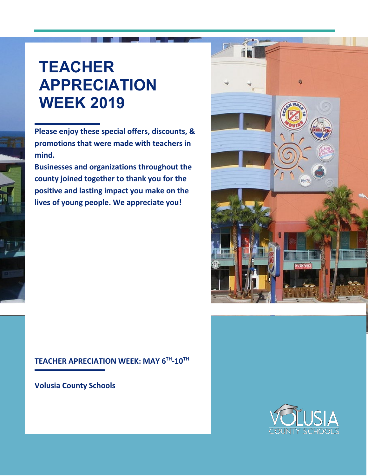## **TEACHER APPRECIATION WEEK 2019**

**Please enjoy these special offers, discounts, & promotions that were made with teachers in mind.**

**Businesses and organizations throughout the county joined together to thank you for the positive and lasting impact you make on the lives of young people. We appreciate you!**



#### **TEACHER APRECIATION WEEK: MAY 6TH-10TH**

**Volusia County Schools**

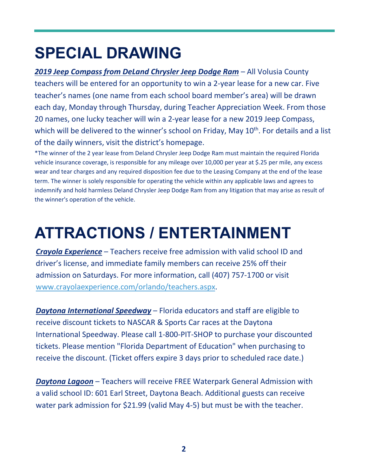# **SPECIAL DRAWING**

*2019 Jeep Compass from DeLand Chrysler Jeep Dodge Ram* – All Volusia County teachers will be entered for an opportunity to win a 2-year lease for a new car. Five teacher's names (one name from each school board member's area) will be drawn each day, Monday through Thursday, during Teacher Appreciation Week. From those 20 names, one lucky teacher will win a 2-year lease for a new 2019 Jeep Compass, which will be delivered to the winner's school on Friday, May 10<sup>th</sup>. For details and a list of the daily winners, visit the district's homepage.

\*The winner of the 2 year lease from Deland Chrysler Jeep Dodge Ram must maintain the required Florida vehicle insurance coverage, is responsible for any mileage over 10,000 per year at \$.25 per mile, any excess wear and tear charges and any required disposition fee due to the Leasing Company at the end of the lease term. The winner is solely responsible for operating the vehicle within any applicable laws and agrees to indemnify and hold harmless Deland Chrysler Jeep Dodge Ram from any litigation that may arise as result of the winner's operation of the vehicle.

## **ATTRACTIONS / ENTERTAINMENT**

*Crayola Experience* – Teachers receive free admission with valid school ID and driver's license, and immediate family members can receive 25% off their admission on Saturdays. For more information, call (407) 757-1700 or visit [www.crayolaexperience.com/orlando/teachers.aspx.](www.crayolaexperience.com/orlando/teachers.aspx)

*Daytona International Speedway* – Florida educators and staff are eligible to receive discount tickets to NASCAR & Sports Car races at the Daytona International Speedway. Please call 1-800-PIT-SHOP to purchase your discounted tickets. Please mention "Florida Department of Education" when purchasing to receive the discount. (Ticket offers expire 3 days prior to scheduled race date.)

*Daytona Lagoon* – Teachers will receive FREE Waterpark General Admission with a valid school ID: 601 Earl Street, Daytona Beach. Additional guests can receive water park admission for \$21.99 (valid May 4-5) but must be with the teacher.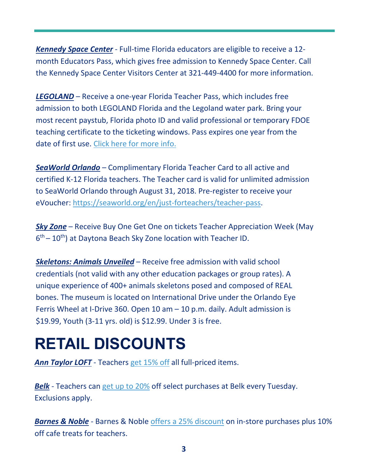*Kennedy Space Center* - Full-time Florida educators are eligible to receive a 12 month Educators Pass, which gives free admission to Kennedy Space Center. Call the Kennedy Space Center Visitors Center at 321-449-4400 for more information.

*LEGOLAND* – Receive a one-year Florida Teacher Pass, which includes free admission to both LEGOLAND Florida and the Legoland water park. Bring your most recent paystub, Florida photo ID and valid professional or temporary FDOE teaching certificate to the ticketing windows. Pass expires one year from the date of first use. [Click here for more info.](https://www.legoland.com/florida/planning-your-visit/groups-parties/school-group-programs/teachers-annual-pass/)

*SeaWorld Orlando* – Complimentary Florida Teacher Card to all active and certified K-12 Florida teachers. The Teacher card is valid for unlimited admission to SeaWorld Orlando through August 31, 2018. Pre-register to receive your eVoucher: [https://seaworld.org/en/just-forteachers/teacher-pass.](https://seaworld.org/en/just-forteachers/teacher-pass)

*Sky Zone* – Receive Buy One Get One on tickets Teacher Appreciation Week (May  $6<sup>th</sup> - 10<sup>th</sup>$ ) at Daytona Beach Sky Zone location with Teacher ID.

*Skeletons: Animals Unveiled* – Receive free admission with valid school credentials (not valid with any other education packages or group rates). A unique experience of 400+ animals skeletons posed and composed of REAL bones. The museum is located on International Drive under the Orlando Eye Ferris Wheel at I-Drive 360. Open 10 am – 10 p.m. daily. Adult admission is \$19.99, Youth (3-11 yrs. old) is \$12.99. Under 3 is free.

## **RETAIL DISCOUNTS**

*Ann Taylor LOFT* - Teachers [get 15% off](https://urldefense.proofpoint.com/v2/url?u=https-3A__x.mail.loft.com_ats_show.aspx-3Fcr-3D100331-26fm-3D98&d=DwMFAw&c=QvQrCjPtO9cKGOfGYlNgXQ&r=3DS1m2kuAE8jwlGyUQsuQIQ65SIyYthBq_klLYxIpR0&m=qZ6PymQCCjHVUTDOsBz061LhTiImXFUm9k4dDQDcx7E&s=z-4n-oIFbn5j_x9xc5xtzo-tw0CFg1AMQDox-L98SFc&e=) all full-priced items.

*Belk* - Teachers can [get up to 20%](https://urldefense.proofpoint.com/v2/url?u=https-3A__www.belk.com_senior-2Dmilitary-2Dteacher-2Ddiscount.html-23close&d=DwMFAw&c=QvQrCjPtO9cKGOfGYlNgXQ&r=3DS1m2kuAE8jwlGyUQsuQIQ65SIyYthBq_klLYxIpR0&m=qZ6PymQCCjHVUTDOsBz061LhTiImXFUm9k4dDQDcx7E&s=gC86GQVoURb-6kGPoIPOiFJ8L9v_ByklFSjW2QUVBKE&e=) off select purchases at Belk every Tuesday. Exclusions apply.

*Barnes & Noble* - Barnes & Noble [offers a 25% discount](https://urldefense.proofpoint.com/v2/url?u=http-3A__www.barnesandnoble.com_h_bn-2Deducators&d=DwMFAw&c=QvQrCjPtO9cKGOfGYlNgXQ&r=3DS1m2kuAE8jwlGyUQsuQIQ65SIyYthBq_klLYxIpR0&m=qZ6PymQCCjHVUTDOsBz061LhTiImXFUm9k4dDQDcx7E&s=SMm4xfvsJyHKTszS0vxnJaIfd1icquGTMFMk8S56trA&e=) on in-store purchases plus 10% off cafe treats for teachers.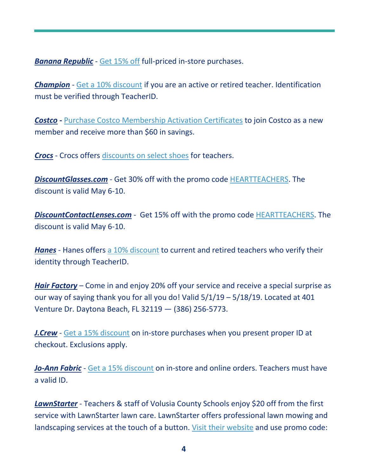*Banana Republic* - [Get 15% off](https://urldefense.proofpoint.com/v2/url?u=http-3A__bananarepublic.gap.com_browse_info.do-3Fcid-3D48137&d=DwMFAw&c=QvQrCjPtO9cKGOfGYlNgXQ&r=3DS1m2kuAE8jwlGyUQsuQIQ65SIyYthBq_klLYxIpR0&m=qZ6PymQCCjHVUTDOsBz061LhTiImXFUm9k4dDQDcx7E&s=Q8INdBeeTcZT8c0pGOtT9SytIu9xw0MduCSCGCE_jCs&e=) full-priced in-store purchases.

*Champion* - [Get a 10% discount](https://urldefense.proofpoint.com/v2/url?u=https-3A__www.champion.com_shop_champion_TeacherID&d=DwMFAw&c=QvQrCjPtO9cKGOfGYlNgXQ&r=3DS1m2kuAE8jwlGyUQsuQIQ65SIyYthBq_klLYxIpR0&m=qZ6PymQCCjHVUTDOsBz061LhTiImXFUm9k4dDQDcx7E&s=j4iX9LDp6SA1NhmLUuDK1MZcNMmYDIXzfhXnls3W4pE&e=) if you are an active or retired teacher. Identification must be verified through TeacherID.

**Costco -** [Purchase Costco Membership Activation Certificates](https://costco.sheerid.com/teacher/) to join Costco as a new member and receive more than \$60 in savings.

*Crocs* - Crocs offers [discounts on select shoes](https://urldefense.proofpoint.com/v2/url?u=https-3A__www.crocs.com_c_collections_back-2Dto-2Dschool-2Dteachers&d=DwMFAw&c=QvQrCjPtO9cKGOfGYlNgXQ&r=3DS1m2kuAE8jwlGyUQsuQIQ65SIyYthBq_klLYxIpR0&m=qZ6PymQCCjHVUTDOsBz061LhTiImXFUm9k4dDQDcx7E&s=UP8FSaBtbAjE_9jZZpcdF2CnLPr17SvsUu8FdEscUX0&e=) for teachers.

*DiscountGlasses.com* - Get 30% off with the promo code [HEARTTEACHERS.](https://urldefense.proofpoint.com/v2/url?u=https-3A__www.discountglasses.com_-3Fkw-3DDiscount-252bGlasses-252bExact-26gclid-3DCjwKCAjwtYXmBRAOEiwAYsyl3J37RX-2D3Ixeayy-2Dh8Ot8iWRWd-2DhlS1nPvWKjC0Rbd-5FrJH3Dzcqx6mRoCJWsQAvD-5FBwE-26utm-5Fsource-3D305-26utm-5Fmedium-3Dcpc-26utm-5Fterm-3DDiscount-252bGlasses-252bExact-26utm-5Fcampaign-3D305&d=DwMFAw&c=QvQrCjPtO9cKGOfGYlNgXQ&r=3DS1m2kuAE8jwlGyUQsuQIQ65SIyYthBq_klLYxIpR0&m=qZ6PymQCCjHVUTDOsBz061LhTiImXFUm9k4dDQDcx7E&s=82r4tUys80Ag8JK8UDvM1dP1dyXXefoSbFNmC8PObLo&e=) The discount is valid May 6-10.

*DiscountContactLenses.com* - Get 15% off with the promo code [HEARTTEACHERS.](https://urldefense.proofpoint.com/v2/url?u=https-3A__www.discountcontactlenses.com) The discount is valid May 6-10.

*Hanes* - Hanes offers [a 10% discount](https://urldefense.proofpoint.com/v2/url?u=http-3A__www.hanes.com_shop_hanes_TeacherID&d=DwMFAw&c=QvQrCjPtO9cKGOfGYlNgXQ&r=3DS1m2kuAE8jwlGyUQsuQIQ65SIyYthBq_klLYxIpR0&m=qZ6PymQCCjHVUTDOsBz061LhTiImXFUm9k4dDQDcx7E&s=yBDFs59gBtrWkXJCeikaIaHlOtV5hVjLDR7Un7zjY30&e=) to current and retired teachers who verify their identity through TeacherID.

*Hair Factory* – Come in and enjoy 20% off your service and receive a special surprise as our way of saying thank you for all you do! Valid 5/1/19 – 5/18/19. Located at 401 Venture Dr. Daytona Beach, FL 32119 — (386) 256-5773.

*J.Crew* - [Get a 15% discount](https://urldefense.proofpoint.com/v2/url?u=https-3A__www.jcrew.com_help_teacher-5Fstudent-5Fdiscount.jsp-3Fsidecar-3Dtrue&d=DwMFAw&c=QvQrCjPtO9cKGOfGYlNgXQ&r=3DS1m2kuAE8jwlGyUQsuQIQ65SIyYthBq_klLYxIpR0&m=qZ6PymQCCjHVUTDOsBz061LhTiImXFUm9k4dDQDcx7E&s=xE4sbI0-MRzyQogM7lIUc7BfFRfODNmVVozpX6WC6Es&e=) on in-store purchases when you present proper ID at checkout. Exclusions apply.

*Jo-Ann Fabric* - [Get a 15% discount](https://urldefense.proofpoint.com/v2/url?u=http-3A__www.joann.com_teacherrewards_&d=DwMFAw&c=QvQrCjPtO9cKGOfGYlNgXQ&r=3DS1m2kuAE8jwlGyUQsuQIQ65SIyYthBq_klLYxIpR0&m=qZ6PymQCCjHVUTDOsBz061LhTiImXFUm9k4dDQDcx7E&s=zvYp2WeSeGVgheVPeHBXH2KUXgEY6phqT50nZdKysFo&e=) on in-store and online orders. Teachers must have a valid ID.

*LawnStarter* - Teachers & staff of Volusia County Schools enjoy \$20 off from the first service with LawnStarter lawn care. LawnStarter offers professional lawn mowing and landscaping services at the touch of a button. [Visit their](https://www.lawnstarter.com/daytona-beach-fl-lawn-care) website and use promo code: